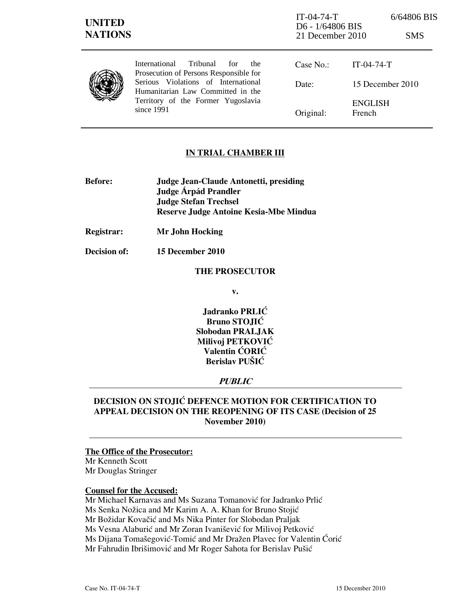# IN TRIAL CHAMBER III

- Before: Judge Jean-Claude Antonetti, presiding Judge **Árpád Prandler**  Judge Stefan Trechsel Reserve Judge Antoine Kesia-Mbe Mindua
- Registrar: Mr John Hocking
- Decision of: 15 December 2010

#### THE PROSECUTOR

v.

Jadranko PRLIĆ Bruno STOJIĆ Slobodan PRALJAK Milivoj PETKOVIĆ Valentin ĆORIĆ Berislav PUŠIĆ

# PUBLIC

# DECISION ON STOJIĆ DEFENCE MOTION FOR CERTIFICATION TO APPEAL DECISION ON THE REOPENING OF ITS CASE (Decision of 25 November 2010)

#### The Office of the Prosecutor:

Mr Kenneth Scott Mr Douglas Stringer

#### Counsel for the Accused:

Mr Michael Karnavas and Ms Suzana Tomanović for Jadranko Prlić Ms Senka Nožica and Mr Karim A. A. Khan for Bruno Stojić Mr Božidar Kovačić and Ms Nika Pinter for Slobodan Praljak Ms Vesna Alaburić and Mr Zoran Ivanišević for Milivoj Petković Ms Dijana Tomašegović-Tomić and Mr Dražen Plavec for Valentin Ćorić Mr Fahrudin Ibrišimović and Mr Roger Sahota for Berislav Pušić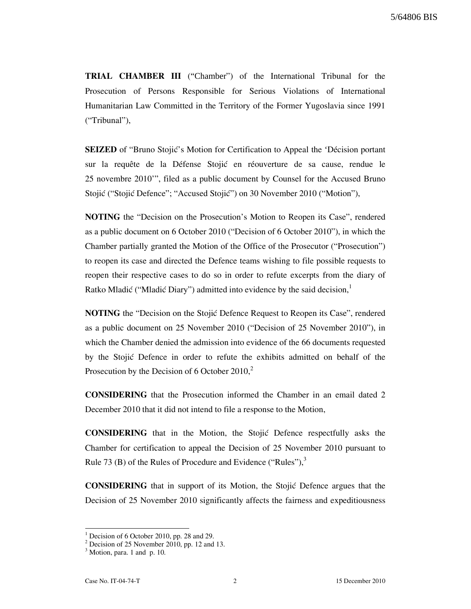TRIAL CHAMBER III ("Chamber") of the International Tribunal for the Prosecution of Persons Responsible for Serious Violations of International Humanitarian Law Committed in the Territory of the Former Yugoslavia since 1991 ("Tribunal"),

**SEIZED** of "Bruno Stojić's Motion for Certification to Appeal the 'Décision portant sur la requête de la Défense Stojić en réouverture de sa cause, rendue le 25 novembre 2010'", filed as a public document by Counsel for the Accused Bruno Stojić ("Stojić Defence"; "Accused Stojić") on 30 November 2010 ("Motion"),

NOTING the "Decision on the Prosecution's Motion to Reopen its Case", rendered as a public document on 6 October 2010 ("Decision of 6 October 2010"), in which the Chamber partially granted the Motion of the Office of the Prosecutor ("Prosecution") to reopen its case and directed the Defence teams wishing to file possible requests to reopen their respective cases to do so in order to refute excerpts from the diary of Ratko Mladić ("Mladić Diary") admitted into evidence by the said decision, $\frac{1}{2}$ 

**NOTING** the "Decision on the Stojic Defence Request to Reopen its Case", rendered as a public document on 25 November 2010 ("Decision of 25 November 2010"), in which the Chamber denied the admission into evidence of the 66 documents requested by the Stojić Defence in order to refute the exhibits admitted on behalf of the Prosecution by the Decision of  $6$  October 2010,<sup>2</sup>

CONSIDERING that the Prosecution informed the Chamber in an email dated 2 December 2010 that it did not intend to file a response to the Motion,

CONSIDERING that in the Motion, the Stojić Defence respectfully asks the Chamber for certification to appeal the Decision of 25 November 2010 pursuant to Rule 73 (B) of the Rules of Procedure and Evidence ("Rules"), $3$ 

CONSIDERING that in support of its Motion, the Stojić Defence argues that the Decision of 25 November 2010 significantly affects the fairness and expeditiousness

 $\overline{a}$ 

<sup>1</sup> Decision of 6 October 2010, pp. 28 and 29.

 $2^2$  Decision of 25 November 2010, pp. 12 and 13.

 $3$  Motion, para. 1 and p. 10.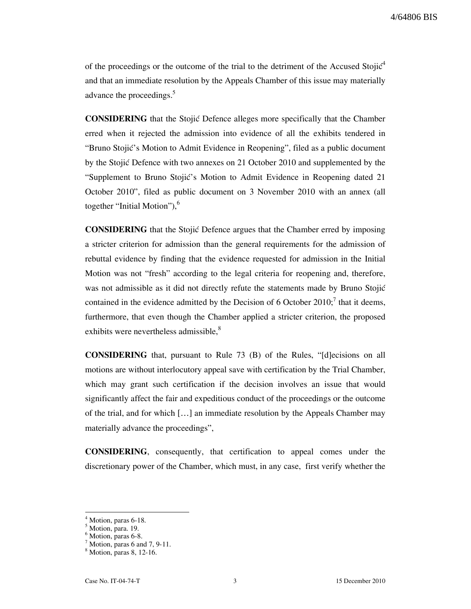of the proceedings or the outcome of the trial to the detriment of the Accused Stoji $\acute{c}^4$ and that an immediate resolution by the Appeals Chamber of this issue may materially advance the proceedings.<sup>5</sup>

CONSIDERING that the Stojić Defence alleges more specifically that the Chamber erred when it rejected the admission into evidence of all the exhibits tendered in "Bruno Stojić's Motion to Admit Evidence in Reopening", filed as a public document by the Stojić Defence with two annexes on 21 October 2010 and supplemented by the "Supplement to Bruno Stojić's Motion to Admit Evidence in Reopening dated 21 October 2010", filed as public document on 3 November 2010 with an annex (all together "Initial Motion"), $<sup>6</sup>$ </sup>

CONSIDERING that the Stojić Defence argues that the Chamber erred by imposing a stricter criterion for admission than the general requirements for the admission of rebuttal evidence by finding that the evidence requested for admission in the Initial Motion was not "fresh" according to the legal criteria for reopening and, therefore, was not admissible as it did not directly refute the statements made by Bruno Stojić contained in the evidence admitted by the Decision of 6 October 2010;<sup>7</sup> that it deems, furthermore, that even though the Chamber applied a stricter criterion, the proposed exhibits were nevertheless admissible,<sup>8</sup>

**CONSIDERING** that, pursuant to Rule  $73$  (B) of the Rules, " $\lbrack d \rbrack$  ecisions on all motions are without interlocutory appeal save with certification by the Trial Chamber, which may grant such certification if the decision involves an issue that would significantly affect the fair and expeditious conduct of the proceedings or the outcome of the trial, and for which […] an immediate resolution by the Appeals Chamber may materially advance the proceedings",

CONSIDERING, consequently, that certification to appeal comes under the discretionary power of the Chamber, which must, in any case, first verify whether the

 $\overline{a}$ 4 Motion, paras 6-18.

<sup>5</sup> Motion, para. 19.

<sup>6</sup> Motion, paras 6-8.

 $^7$  Motion, paras 6 and 7, 9-11.

<sup>8</sup> Motion, paras 8, 12-16.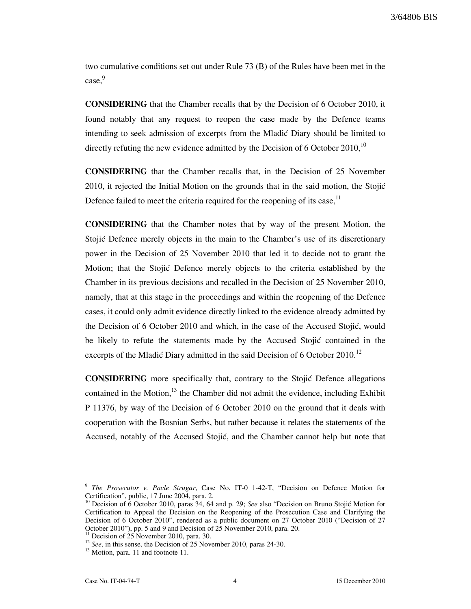3/64806 BIS

two cumulative conditions set out under Rule 73 (B) of the Rules have been met in the case.<sup>9</sup>

CONSIDERING that the Chamber recalls that by the Decision of 6 October 2010, it found notably that any request to reopen the case made by the Defence teams intending to seek admission of excerpts from the Mladić Diary should be limited to directly refuting the new evidence admitted by the Decision of 6 October 2010,  $10$ 

CONSIDERING that the Chamber recalls that, in the Decision of 25 November 2010, it rejected the Initial Motion on the grounds that in the said motion, the Stojić Defence failed to meet the criteria required for the reopening of its case.<sup>11</sup>

CONSIDERING that the Chamber notes that by way of the present Motion, the Stojić Defence merely objects in the main to the Chamber's use of its discretionary power in the Decision of 25 November 2010 that led it to decide not to grant the Motion; that the Stojić Defence merely objects to the criteria established by the Chamber in its previous decisions and recalled in the Decision of 25 November 2010, namely, that at this stage in the proceedings and within the reopening of the Defence cases, it could only admit evidence directly linked to the evidence already admitted by the Decision of 6 October 2010 and which, in the case of the Accused Stojić, would be likely to refute the statements made by the Accused Stojić contained in the excerpts of the Mladić Diary admitted in the said Decision of 6 October 2010.<sup>12</sup>

**CONSIDERING** more specifically that, contrary to the Stojić Defence allegations contained in the Motion, $^{13}$  the Chamber did not admit the evidence, including Exhibit P 11376, by way of the Decision of 6 October 2010 on the ground that it deals with cooperation with the Bosnian Serbs, but rather because it relates the statements of the Accused, notably of the Accused Stojić, and the Chamber cannot help but note that

 $\overline{a}$ 

<sup>9</sup> The Prosecutor v. Pavle Strugar, Case No. IT-0 1-42-T, "Decision on Defence Motion for Certification", public, 17 June 2004, para. 2.

Decision of 6 October 2010, paras 34, 64 and p. 29; See also "Decision on Bruno Stojić Motion for Certification to Appeal the Decision on the Reopening of the Prosecution Case and Clarifying the Decision of 6 October 2010", rendered as a public document on 27 October 2010 ("Decision of 27 October 2010"), pp. 5 and 9 and Decision of 25 November 2010, para. 20.

Decision of 25 November 2010, para. 30.

 $12$  See, in this sense, the Decision of 25 November 2010, paras 24-30.

<sup>&</sup>lt;sup>13</sup> Motion, para. 11 and footnote 11.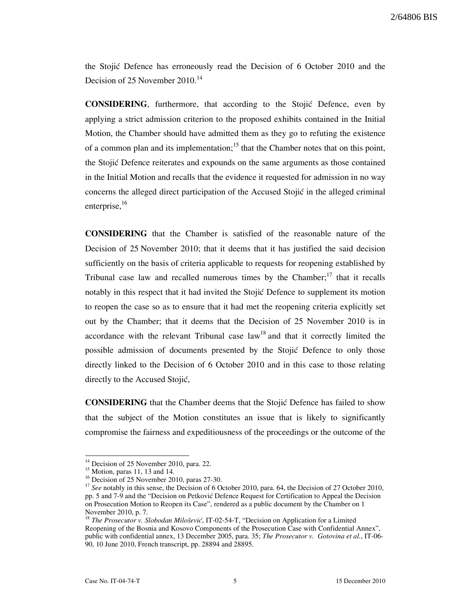2/64806 BIS

the Stojic Defence has erroneously read the Decision of 6 October 2010 and the Decision of 25 November 2010.<sup>14</sup>

CONSIDERING, furthermore, that according to the Stojić Defence, even by applying a strict admission criterion to the proposed exhibits contained in the Initial Motion, the Chamber should have admitted them as they go to refuting the existence of a common plan and its implementation;<sup>15</sup> that the Chamber notes that on this point, the Stojić Defence reiterates and expounds on the same arguments as those contained in the Initial Motion and recalls that the evidence it requested for admission in no way concerns the alleged direct participation of the Accused Stojić in the alleged criminal enterprise, $^{16}$ 

CONSIDERING that the Chamber is satisfied of the reasonable nature of the Decision of 25 November 2010; that it deems that it has justified the said decision sufficiently on the basis of criteria applicable to requests for reopening established by Tribunal case law and recalled numerous times by the Chamber; $17$  that it recalls notably in this respect that it had invited the Stojić Defence to supplement its motion to reopen the case so as to ensure that it had met the reopening criteria explicitly set out by the Chamber; that it deems that the Decision of 25 November 2010 is in accordance with the relevant Tribunal case  $law<sup>18</sup>$  and that it correctly limited the possible admission of documents presented by the Stojić Defence to only those directly linked to the Decision of 6 October 2010 and in this case to those relating directly to the Accused Stojić,

**CONSIDERING** that the Chamber deems that the Stojic Defence has failed to show that the subject of the Motion constitutes an issue that is likely to significantly compromise the fairness and expeditiousness of the proceedings or the outcome of the

l

<sup>&</sup>lt;sup>14</sup> Decision of 25 November 2010, para. 22.

<sup>15</sup> Motion, paras 11, 13 and 14.

<sup>&</sup>lt;sup>16</sup> Decision of 25 November 2010, paras 27-30.

<sup>&</sup>lt;sup>17</sup> See notably in this sense, the Decision of 6 October 2010, para. 64, the Decision of 27 October 2010, pp. 5 and 7-9 and the "Decision on Petković Defence Request for Certification to Appeal the Decision on Prosecution Motion to Reopen its Case", rendered as a public document by the Chamber on 1 November 2010, p. 7.

 $18$  The Prosecutor v. Slobodan Milošević, IT-02-54-T, "Decision on Application for a Limited Reopening of the Bosnia and Kosovo Components of the Prosecution Case with Confidential Annex", public with confidential annex, 13 December 2005, para. 35; The Prosecutor v. Gotovina et al., IT-06-90, 10 June 2010, French transcript, pp. 28894 and 28895.